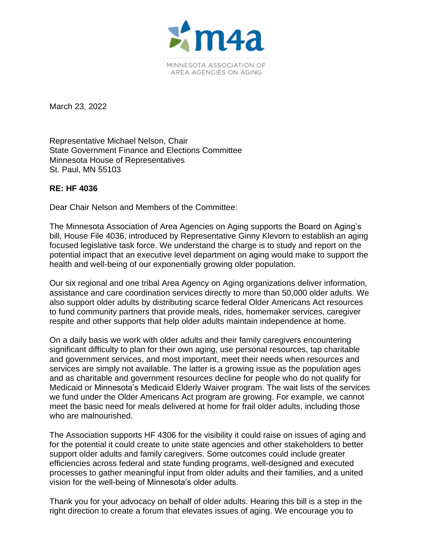

March 23, 2022

Representative Michael Nelson, Chair State Government Finance and Elections Committee Minnesota House of Representatives St. Paul, MN 55103

## **RE: HF 4036**

Dear Chair Nelson and Members of the Committee:

The Minnesota Association of Area Agencies on Aging supports the Board on Aging's bill, House File 4036, introduced by Representative Ginny Klevorn to establish an aging focused legislative task force. We understand the charge is to study and report on the potential impact that an executive level department on aging would make to support the health and well-being of our exponentially growing older population.

Our six regional and one tribal Area Agency on Aging organizations deliver information, assistance and care coordination services directly to more than 50,000 older adults. We also support older adults by distributing scarce federal Older Americans Act resources to fund community partners that provide meals, rides, homemaker services, caregiver respite and other supports that help older adults maintain independence at home.

On a daily basis we work with older adults and their family caregivers encountering significant difficulty to plan for their own aging, use personal resources, tap charitable and government services, and most important, meet their needs when resources and services are simply not available. The latter is a growing issue as the population ages and as charitable and government resources decline for people who do not qualify for Medicaid or Minnesota's Medicaid Elderly Waiver program. The wait lists of the services we fund under the Older Americans Act program are growing. For example, we cannot meet the basic need for meals delivered at home for frail older adults, including those who are malnourished.

The Association supports HF 4306 for the visibility it could raise on issues of aging and for the potential it could create to unite state agencies and other stakeholders to better support older adults and family caregivers. Some outcomes could include greater efficiencies across federal and state funding programs, well-designed and executed processes to gather meaningful input from older adults and their families, and a united vision for the well-being of Minnesota's older adults.

Thank you for your advocacy on behalf of older adults. Hearing this bill is a step in the right direction to create a forum that elevates issues of aging. We encourage you to